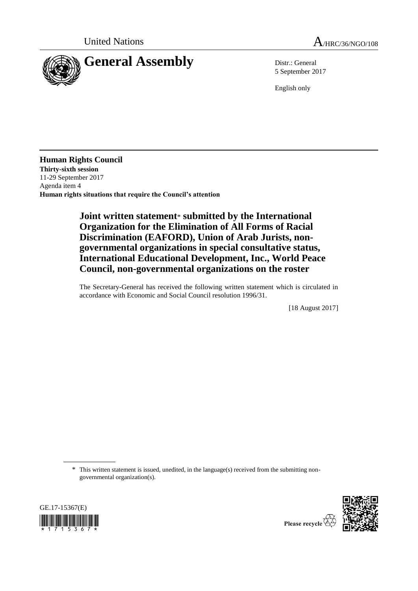



5 September 2017

English only

**Human Rights Council Thirty-sixth session** 11-29 September 2017 Agenda item 4 **Human rights situations that require the Council's attention**

## **Joint written statement**\* **submitted by the International Organization for the Elimination of All Forms of Racial Discrimination (EAFORD), Union of Arab Jurists, nongovernmental organizations in special consultative status, International Educational Development, Inc., World Peace Council, non-governmental organizations on the roster**

The Secretary-General has received the following written statement which is circulated in accordance with Economic and Social Council resolution 1996/31.

[18 August 2017]

\* This written statement is issued, unedited, in the language(s) received from the submitting nongovernmental organization(s).





Please recycle  $\overline{\hat{X}}$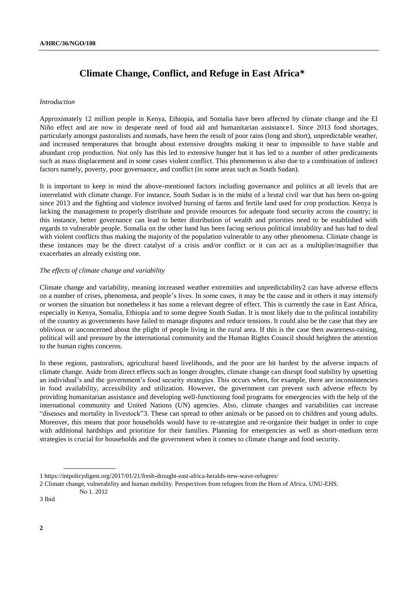# **Climate Change, Conflict, and Refuge in East Africa\***

## *Introduction*

Approximately 12 million people in Kenya, Ethiopia, and Somalia have been affected by climate change and the El Niño effect and are now in desperate need of food aid and humanitarian assistance1. Since 2013 food shortages, particularly amongst pastoralists and nomads, have been the result of poor rains (long and short), unpredictable weather, and increased temperatures that brought about extensive droughts making it near to impossible to have stable and abundant crop production. Not only has this led to extensive hunger but it has led to a number of other predicaments such as mass displacement and in some cases violent conflict. This phenomenon is also due to a combination of indirect factors namely, poverty, poor governance, and conflict (in some areas such as South Sudan).

It is important to keep in mind the above-mentioned factors including governance and politics at all levels that are interrelated with climate change. For instance, South Sudan is in the midst of a brutal civil war that has been on-going since 2013 and the fighting and violence involved burning of farms and fertile land used for crop production. Kenya is lacking the management to properly distribute and provide resources for adequate food security across the country; in this instance, better governance can lead to better distribution of wealth and priorities need to be established with regards to vulnerable people. Somalia on the other hand has been facing serious political instability and has had to deal with violent conflicts thus making the majority of the population vulnerable to any other phenomena. Climate change in these instances may be the direct catalyst of a crisis and/or conflict or it can act as a multiplier/magnifier that exacerbates an already existing one.

### *The effects of climate change and variability*

Climate change and variability, meaning increased weather extremities and unpredictability2 can have adverse effects on a number of crises, phenomena, and people's lives. In some cases, it may be the cause and in others it may intensify or worsen the situation but nonetheless it has some a relevant degree of effect. This is currently the case in East Africa, especially in Kenya, Somalia, Ethiopia and to some degree South Sudan. It is most likely due to the political instability of the country as governments have failed to manage disputes and reduce tensions. It could also be the case that they are oblivious or unconcerned about the plight of people living in the rural area. If this is the case then awareness-raising, political will and pressure by the international community and the Human Rights Council should heighten the attention to the human rights concerns.

In these regions, pastoralists, agricultural based livelihoods, and the poor are hit hardest by the adverse impacts of climate change. Aside from direct effects such as longer droughts, climate change can disrupt food stability by upsetting an individual's and the government's food security strategies. This occurs when, for example, there are inconsistencies in food availability, accessibility and utilization. However, the government can prevent such adverse effects by providing humanitarian assistance and developing well-functioning food programs for emergencies with the help of the international community and United Nations (UN) agencies. Also, climate changes and variabilities can increase "diseases and mortality in livestock"3. These can spread to other animals or be passed on to children and young adults. Moreover, this means that poor households would have to re-strategize and re-organize their budget in order to cope with additional hardships and prioritize for their families. Planning for emergencies as well as short-medium term strategies is crucial for households and the government when it comes to climate change and food security.

3 Ibid

<sup>1</sup> https://intpolicydigest.org/2017/01/21/fresh-drought-east-africa-heralds-new-wave-refugees/

<sup>2</sup> Climate change, vulnerability and human mobility. Perspectives from refugees from the Horn of Africa. UNU-EHS. No 1. 2012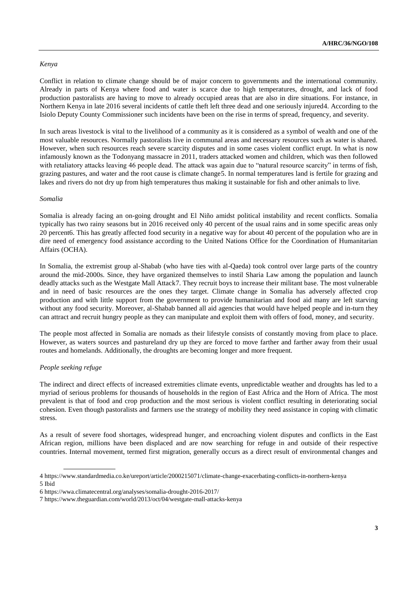## *Kenya*

Conflict in relation to climate change should be of major concern to governments and the international community. Already in parts of Kenya where food and water is scarce due to high temperatures, drought, and lack of food production pastoralists are having to move to already occupied areas that are also in dire situations. For instance, in Northern Kenya in late 2016 several incidents of cattle theft left three dead and one seriously injured4. According to the Isiolo Deputy County Commissioner such incidents have been on the rise in terms of spread, frequency, and severity.

In such areas livestock is vital to the livelihood of a community as it is considered as a symbol of wealth and one of the most valuable resources. Normally pastoralists live in communal areas and necessary resources such as water is shared. However, when such resources reach severe scarcity disputes and in some cases violent conflict erupt. In what is now infamously known as the Todonyang massacre in 2011, traders attacked women and children, which was then followed with retaliatory attacks leaving 46 people dead. The attack was again due to "natural resource scarcity" in terms of fish, grazing pastures, and water and the root cause is climate change5. In normal temperatures land is fertile for grazing and lakes and rivers do not dry up from high temperatures thus making it sustainable for fish and other animals to live.

## *Somalia*

Somalia is already facing an on-going drought and El Niño amidst political instability and recent conflicts. Somalia typically has two rainy seasons but in 2016 received only 40 percent of the usual rains and in some specific areas only 20 percent6. This has greatly affected food security in a negative way for about 40 percent of the population who are in dire need of emergency food assistance according to the United Nations Office for the Coordination of Humanitarian Affairs (OCHA).

In Somalia, the extremist group al-Shabab (who have ties with al-Qaeda) took control over large parts of the country around the mid-2000s. Since, they have organized themselves to instil Sharia Law among the population and launch deadly attacks such as the Westgate Mall Attack7. They recruit boys to increase their militant base. The most vulnerable and in need of basic resources are the ones they target. Climate change in Somalia has adversely affected crop production and with little support from the government to provide humanitarian and food aid many are left starving without any food security. Moreover, al-Shabab banned all aid agencies that would have helped people and in-turn they can attract and recruit hungry people as they can manipulate and exploit them with offers of food, money, and security.

The people most affected in Somalia are nomads as their lifestyle consists of constantly moving from place to place. However, as waters sources and pastureland dry up they are forced to move farther and farther away from their usual routes and homelands. Additionally, the droughts are becoming longer and more frequent.

## *People seeking refuge*

The indirect and direct effects of increased extremities climate events, unpredictable weather and droughts has led to a myriad of serious problems for thousands of households in the region of East Africa and the Horn of Africa. The most prevalent is that of food and crop production and the most serious is violent conflict resulting in deteriorating social cohesion. Even though pastoralists and farmers use the strategy of mobility they need assistance in coping with climatic stress.

As a result of severe food shortages, widespread hunger, and encroaching violent disputes and conflicts in the East African region, millions have been displaced and are now searching for refuge in and outside of their respective countries. Internal movement, termed first migration, generally occurs as a direct result of environmental changes and

<sup>4</sup> https://www.standardmedia.co.ke/ureport/article/2000215071/climate-change-exacerbating-conflicts-in-northern-kenya 5 Ibid

<sup>6</sup> https://wwa.climatecentral.org/analyses/somalia-drought-2016-2017/

<sup>7</sup> https://www.theguardian.com/world/2013/oct/04/westgate-mall-attacks-kenya